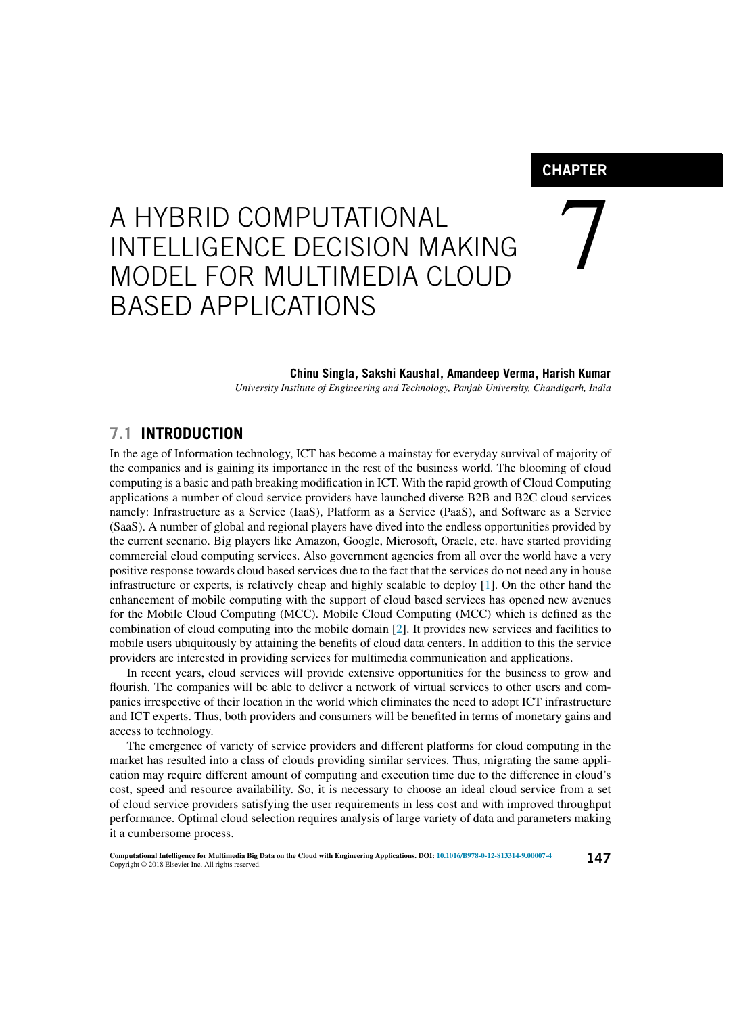7

# A HYBRID COMPUTATIONAL INTELLIGENCE DECISION MAKING MODEL FOR MULTIMEDIA CLOUD BASED APPLICATIONS

**Chinu Singla, Sakshi Kaushal, Amandeep Verma, Harish Kumar**

*University Institute of Engineering and Technology, Panjab University, Chandigarh, India*

# **7.1 INTRODUCTION**

In the age of Information technology, ICT has become a mainstay for everyday survival of majority of the companies and is gaining its importance in the rest of the business world. The blooming of cloud computing is a basic and path breaking modification in ICT. With the rapid growth of Cloud Computing applications a number of cloud service providers have launched diverse B2B and B2C cloud services namely: Infrastructure as a Service (IaaS), Platform as a Service (PaaS), and Software as a Service (SaaS). A number of global and regional players have dived into the endless opportunities provided by the current scenario. Big players like Amazon, Google, Microsoft, Oracle, etc. have started providing commercial cloud computing services. Also government agencies from all over the world have a very positive response towards cloud based services due to the fact that the services do not need any in house infrastructure or experts, is relatively cheap and highly scalable to deploy [\[1\]](#page-9-0). On the other hand the enhancement of mobile computing with the support of cloud based services has opened new avenues for the Mobile Cloud Computing (MCC). Mobile Cloud Computing (MCC) which is defined as the combination of cloud computing into the mobile domain [\[2\]](#page-9-0). It provides new services and facilities to mobile users ubiquitously by attaining the benefits of cloud data centers. In addition to this the service providers are interested in providing services for multimedia communication and applications.

In recent years, cloud services will provide extensive opportunities for the business to grow and flourish. The companies will be able to deliver a network of virtual services to other users and companies irrespective of their location in the world which eliminates the need to adopt ICT infrastructure and ICT experts. Thus, both providers and consumers will be benefited in terms of monetary gains and access to technology.

The emergence of variety of service providers and different platforms for cloud computing in the market has resulted into a class of clouds providing similar services. Thus, migrating the same application may require different amount of computing and execution time due to the difference in cloud's cost, speed and resource availability. So, it is necessary to choose an ideal cloud service from a set of cloud service providers satisfying the user requirements in less cost and with improved throughput performance. Optimal cloud selection requires analysis of large variety of data and parameters making it a cumbersome process.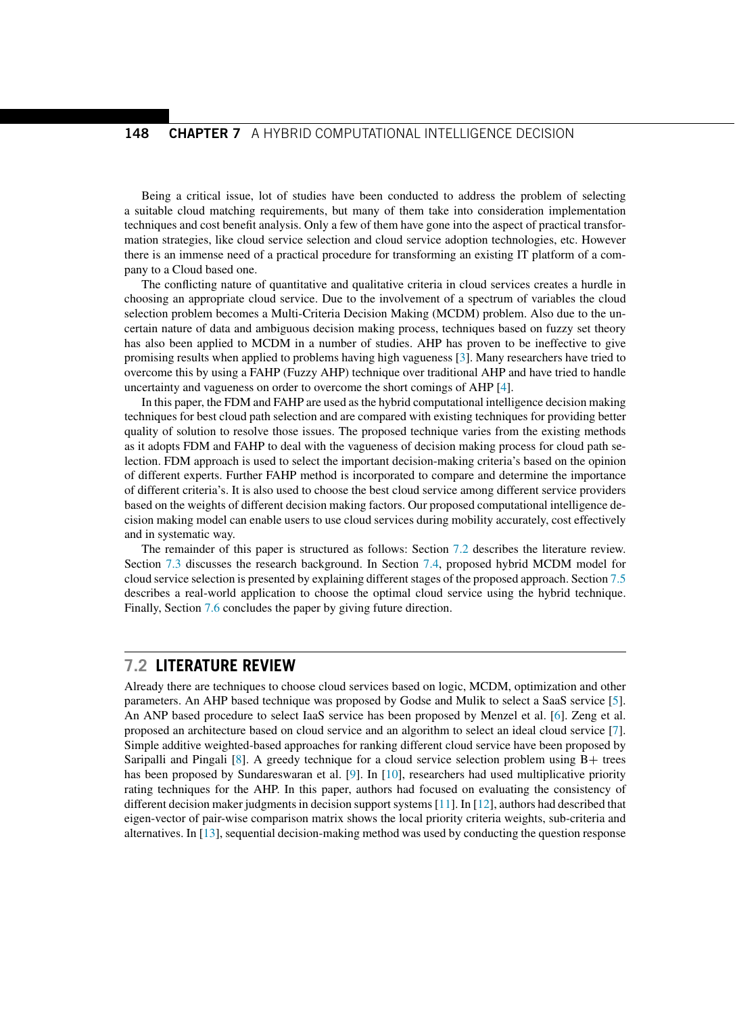Being a critical issue, lot of studies have been conducted to address the problem of selecting a suitable cloud matching requirements, but many of them take into consideration implementation techniques and cost benefit analysis. Only a few of them have gone into the aspect of practical transformation strategies, like cloud service selection and cloud service adoption technologies, etc. However there is an immense need of a practical procedure for transforming an existing IT platform of a company to a Cloud based one.

The conflicting nature of quantitative and qualitative criteria in cloud services creates a hurdle in choosing an appropriate cloud service. Due to the involvement of a spectrum of variables the cloud selection problem becomes a Multi-Criteria Decision Making (MCDM) problem. Also due to the uncertain nature of data and ambiguous decision making process, techniques based on fuzzy set theory has also been applied to MCDM in a number of studies. AHP has proven to be ineffective to give promising results when applied to problems having high vagueness [\[3\]](#page-9-0). Many researchers have tried to overcome this by using a FAHP (Fuzzy AHP) technique over traditional AHP and have tried to handle uncertainty and vagueness on order to overcome the short comings of AHP [\[4\]](#page-9-0).

In this paper, the FDM and FAHP are used as the hybrid computational intelligence decision making techniques for best cloud path selection and are compared with existing techniques for providing better quality of solution to resolve those issues. The proposed technique varies from the existing methods as it adopts FDM and FAHP to deal with the vagueness of decision making process for cloud path selection. FDM approach is used to select the important decision-making criteria's based on the opinion of different experts. Further FAHP method is incorporated to compare and determine the importance of different criteria's. It is also used to choose the best cloud service among different service providers based on the weights of different decision making factors. Our proposed computational intelligence decision making model can enable users to use cloud services during mobility accurately, cost effectively and in systematic way.

The remainder of this paper is structured as follows: Section 7.2 describes the literature review. Section [7.3](#page-2-0) discusses the research background. In Section [7.4,](#page-4-0) proposed hybrid MCDM model for cloud service selection is presented by explaining different stages of the proposed approach. Section [7.5](#page-7-0) describes a real-world application to choose the optimal cloud service using the hybrid technique. Finally, Section [7.6](#page-9-0) concludes the paper by giving future direction.

## **7.2 LITERATURE REVIEW**

Already there are techniques to choose cloud services based on logic, MCDM, optimization and other parameters. An AHP based technique was proposed by Godse and Mulik to select a SaaS service [\[5\]](#page-9-0). An ANP based procedure to select IaaS service has been proposed by Menzel et al. [\[6\]](#page-9-0). Zeng et al. proposed an architecture based on cloud service and an algorithm to select an ideal cloud service [\[7\]](#page-9-0). Simple additive weighted-based approaches for ranking different cloud service have been proposed by Saripalli and Pingali  $[8]$ . A greedy technique for a cloud service selection problem using  $B+$  trees has been proposed by Sundareswaran et al. [\[9\]](#page-10-0). In [\[10\]](#page-10-0), researchers had used multiplicative priority rating techniques for the AHP. In this paper, authors had focused on evaluating the consistency of different decision maker judgments in decision support systems [\[11\]](#page-10-0). In [\[12\]](#page-10-0), authors had described that eigen-vector of pair-wise comparison matrix shows the local priority criteria weights, sub-criteria and alternatives. In [\[13\]](#page-10-0), sequential decision-making method was used by conducting the question response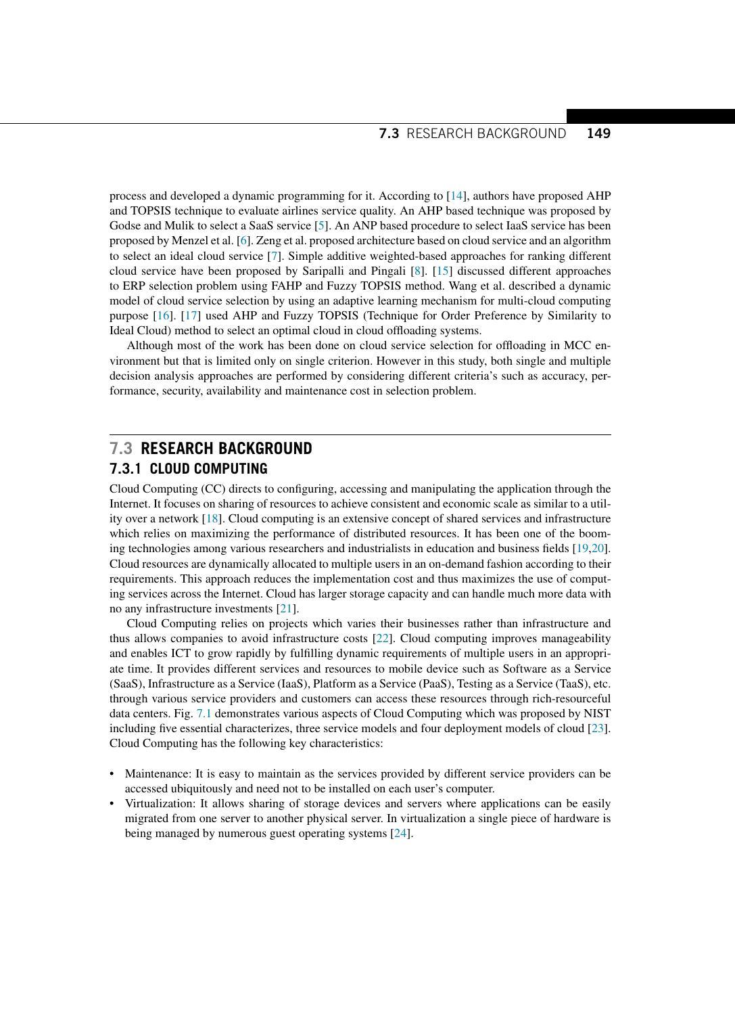<span id="page-2-0"></span>process and developed a dynamic programming for it. According to [\[14\]](#page-10-0), authors have proposed AHP and TOPSIS technique to evaluate airlines service quality. An AHP based technique was proposed by Godse and Mulik to select a SaaS service [\[5\]](#page-9-0). An ANP based procedure to select IaaS service has been proposed by Menzel et al. [\[6\]](#page-9-0). Zeng et al. proposed architecture based on cloud service and an algorithm to select an ideal cloud service [\[7\]](#page-9-0). Simple additive weighted-based approaches for ranking different cloud service have been proposed by Saripalli and Pingali [\[8\]](#page-10-0). [\[15\]](#page-10-0) discussed different approaches to ERP selection problem using FAHP and Fuzzy TOPSIS method. Wang et al. described a dynamic model of cloud service selection by using an adaptive learning mechanism for multi-cloud computing purpose [\[16\]](#page-10-0). [\[17\]](#page-10-0) used AHP and Fuzzy TOPSIS (Technique for Order Preference by Similarity to Ideal Cloud) method to select an optimal cloud in cloud offloading systems.

Although most of the work has been done on cloud service selection for offloading in MCC environment but that is limited only on single criterion. However in this study, both single and multiple decision analysis approaches are performed by considering different criteria's such as accuracy, performance, security, availability and maintenance cost in selection problem.

# **7.3 RESEARCH BACKGROUND 7.3.1 CLOUD COMPUTING**

Cloud Computing (CC) directs to configuring, accessing and manipulating the application through the Internet. It focuses on sharing of resources to achieve consistent and economic scale as similar to a utility over a network [\[18\]](#page-10-0). Cloud computing is an extensive concept of shared services and infrastructure which relies on maximizing the performance of distributed resources. It has been one of the booming technologies among various researchers and industrialists in education and business fields [\[19,20\]](#page-10-0). Cloud resources are dynamically allocated to multiple users in an on-demand fashion according to their requirements. This approach reduces the implementation cost and thus maximizes the use of computing services across the Internet. Cloud has larger storage capacity and can handle much more data with no any infrastructure investments [\[21\]](#page-10-0).

Cloud Computing relies on projects which varies their businesses rather than infrastructure and thus allows companies to avoid infrastructure costs [\[22\]](#page-10-0). Cloud computing improves manageability and enables ICT to grow rapidly by fulfilling dynamic requirements of multiple users in an appropriate time. It provides different services and resources to mobile device such as Software as a Service (SaaS), Infrastructure as a Service (IaaS), Platform as a Service (PaaS), Testing as a Service (TaaS), etc. through various service providers and customers can access these resources through rich-resourceful data centers. Fig. [7.1](#page-3-0) demonstrates various aspects of Cloud Computing which was proposed by NIST including five essential characterizes, three service models and four deployment models of cloud [\[23\]](#page-10-0). Cloud Computing has the following key characteristics:

- Maintenance: It is easy to maintain as the services provided by different service providers can be accessed ubiquitously and need not to be installed on each user's computer.
- Virtualization: It allows sharing of storage devices and servers where applications can be easily migrated from one server to another physical server. In virtualization a single piece of hardware is being managed by numerous guest operating systems [\[24\]](#page-10-0).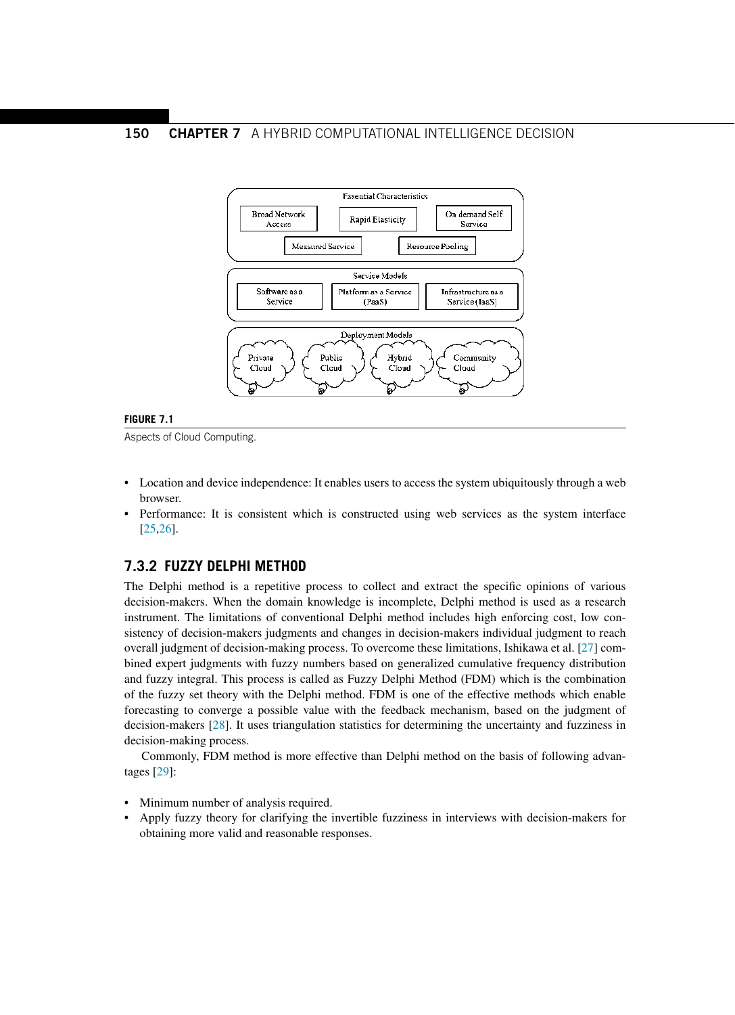<span id="page-3-0"></span>

#### **FIGURE 7.1**

Aspects of Cloud Computing.

- Location and device independence: It enables users to access the system ubiquitously through a web browser.
- Performance: It is consistent which is constructed using web services as the system interface [\[25,26\]](#page-10-0).

# **7.3.2 FUZZY DELPHI METHOD**

The Delphi method is a repetitive process to collect and extract the specific opinions of various decision-makers. When the domain knowledge is incomplete, Delphi method is used as a research instrument. The limitations of conventional Delphi method includes high enforcing cost, low consistency of decision-makers judgments and changes in decision-makers individual judgment to reach overall judgment of decision-making process. To overcome these limitations, Ishikawa et al. [\[27\]](#page-10-0) combined expert judgments with fuzzy numbers based on generalized cumulative frequency distribution and fuzzy integral. This process is called as Fuzzy Delphi Method (FDM) which is the combination of the fuzzy set theory with the Delphi method. FDM is one of the effective methods which enable forecasting to converge a possible value with the feedback mechanism, based on the judgment of decision-makers [\[28\]](#page-10-0). It uses triangulation statistics for determining the uncertainty and fuzziness in decision-making process.

Commonly, FDM method is more effective than Delphi method on the basis of following advantages [\[29\]](#page-10-0):

- Minimum number of analysis required.
- Apply fuzzy theory for clarifying the invertible fuzziness in interviews with decision-makers for obtaining more valid and reasonable responses.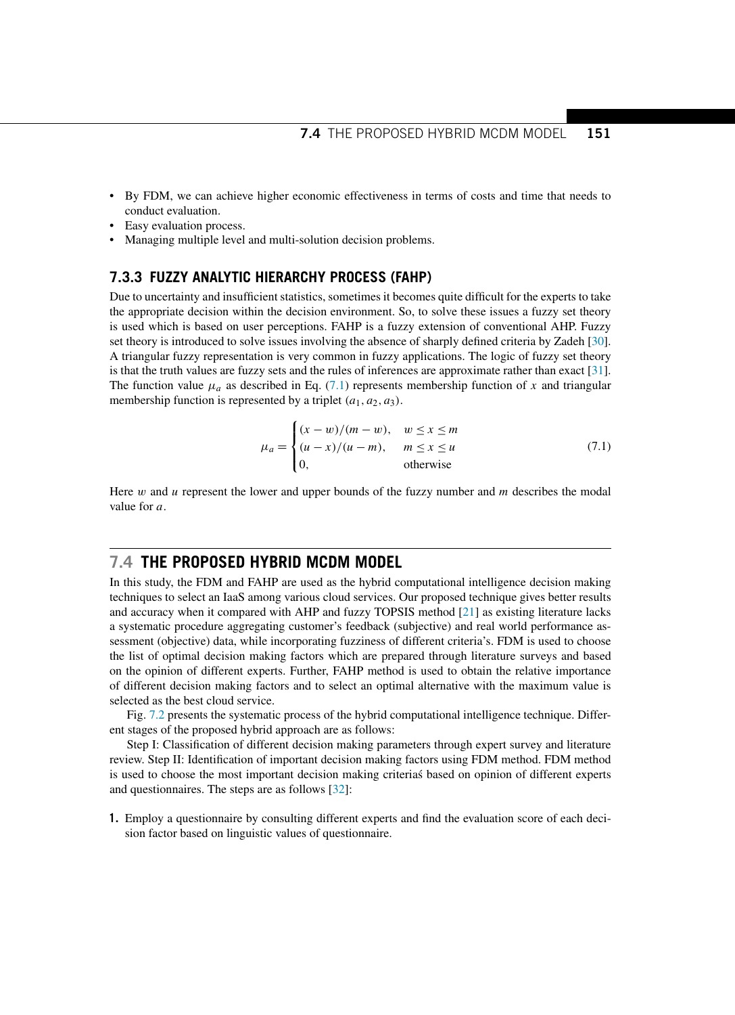- <span id="page-4-0"></span>• By FDM, we can achieve higher economic effectiveness in terms of costs and time that needs to conduct evaluation.
- Easy evaluation process.
- Managing multiple level and multi-solution decision problems.

#### **7.3.3 FUZZY ANALYTIC HIERARCHY PROCESS (FAHP)**

Due to uncertainty and insufficient statistics, sometimes it becomes quite difficult for the experts to take the appropriate decision within the decision environment. So, to solve these issues a fuzzy set theory is used which is based on user perceptions. FAHP is a fuzzy extension of conventional AHP. Fuzzy set theory is introduced to solve issues involving the absence of sharply defined criteria by Zadeh [\[30\]](#page-10-0). A triangular fuzzy representation is very common in fuzzy applications. The logic of fuzzy set theory is that the truth values are fuzzy sets and the rules of inferences are approximate rather than exact [\[31\]](#page-10-0). The function value  $\mu_a$  as described in Eq. (7.1) represents membership function of *x* and triangular membership function is represented by a triplet *(a*1*, a*2*, a*3*)*.

$$
\mu_a = \begin{cases}\n(x - w)/(m - w), & w \le x \le m \\
(u - x)/(u - m), & m \le x \le u \\
0, & \text{otherwise}\n\end{cases}
$$
\n(7.1)

Here *w* and *u* represent the lower and upper bounds of the fuzzy number and *m* describes the modal value for *a*.

### **7.4 THE PROPOSED HYBRID MCDM MODEL**

In this study, the FDM and FAHP are used as the hybrid computational intelligence decision making techniques to select an IaaS among various cloud services. Our proposed technique gives better results and accuracy when it compared with AHP and fuzzy TOPSIS method [\[21\]](#page-10-0) as existing literature lacks a systematic procedure aggregating customer's feedback (subjective) and real world performance assessment (objective) data, while incorporating fuzziness of different criteria's. FDM is used to choose the list of optimal decision making factors which are prepared through literature surveys and based on the opinion of different experts. Further, FAHP method is used to obtain the relative importance of different decision making factors and to select an optimal alternative with the maximum value is selected as the best cloud service.

Fig. [7.2](#page-5-0) presents the systematic process of the hybrid computational intelligence technique. Different stages of the proposed hybrid approach are as follows:

Step I: Classification of different decision making parameters through expert survey and literature review. Step II: Identification of important decision making factors using FDM method. FDM method is used to choose the most important decision making criterias based on opinion of different experts and questionnaires. The steps are as follows [\[32\]](#page-10-0):

**1.** Employ a questionnaire by consulting different experts and find the evaluation score of each decision factor based on linguistic values of questionnaire.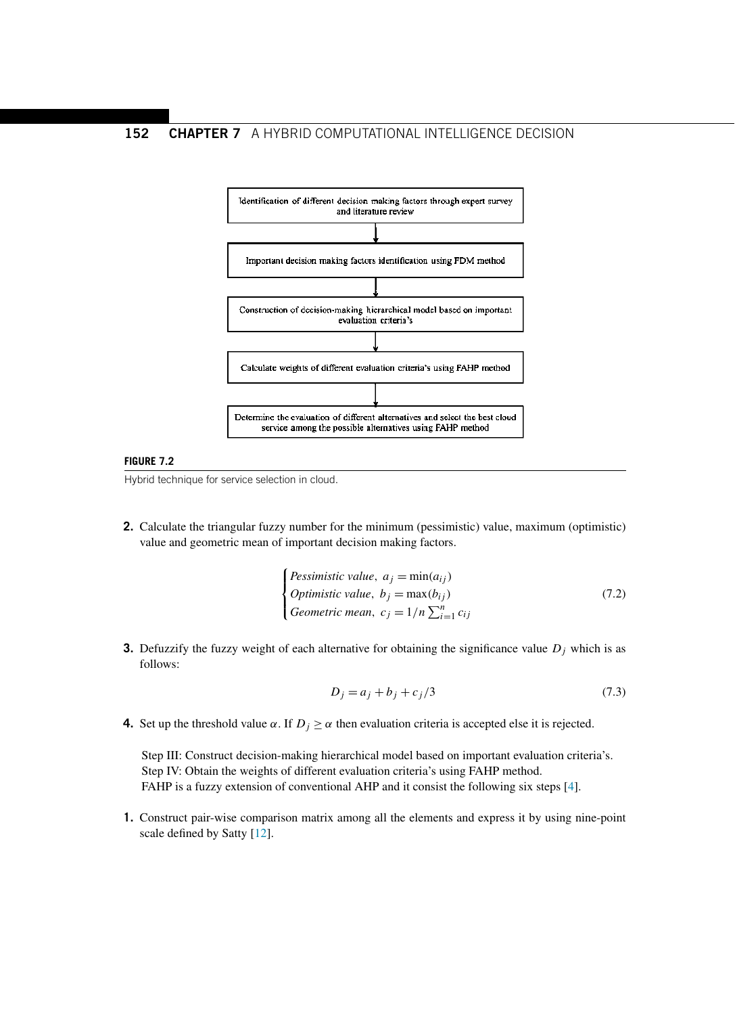<span id="page-5-0"></span>

#### **FIGURE 7.2**

Hybrid technique for service selection in cloud.

**2.** Calculate the triangular fuzzy number for the minimum (pessimistic) value, maximum (optimistic) value and geometric mean of important decision making factors.

$$
\begin{cases}\nPessianistic value, \ a_j = \min(a_{ij}) \\
Optimistic value, \ b_j = \max(b_{ij}) \\
Geometric \ mean, \ c_j = 1/n \sum_{i=1}^{n} c_{ij}\n\end{cases} \tag{7.2}
$$

**3.** Defuzzify the fuzzy weight of each alternative for obtaining the significance value  $D_j$  which is as follows:

$$
D_j = a_j + b_j + c_j/3
$$
 (7.3)

**4.** Set up the threshold value  $\alpha$ . If  $D_j \geq \alpha$  then evaluation criteria is accepted else it is rejected.

Step III: Construct decision-making hierarchical model based on important evaluation criteria's. Step IV: Obtain the weights of different evaluation criteria's using FAHP method. FAHP is a fuzzy extension of conventional AHP and it consist the following six steps [\[4\]](#page-9-0).

**1.** Construct pair-wise comparison matrix among all the elements and express it by using nine-point scale defined by Satty [\[12\]](#page-10-0).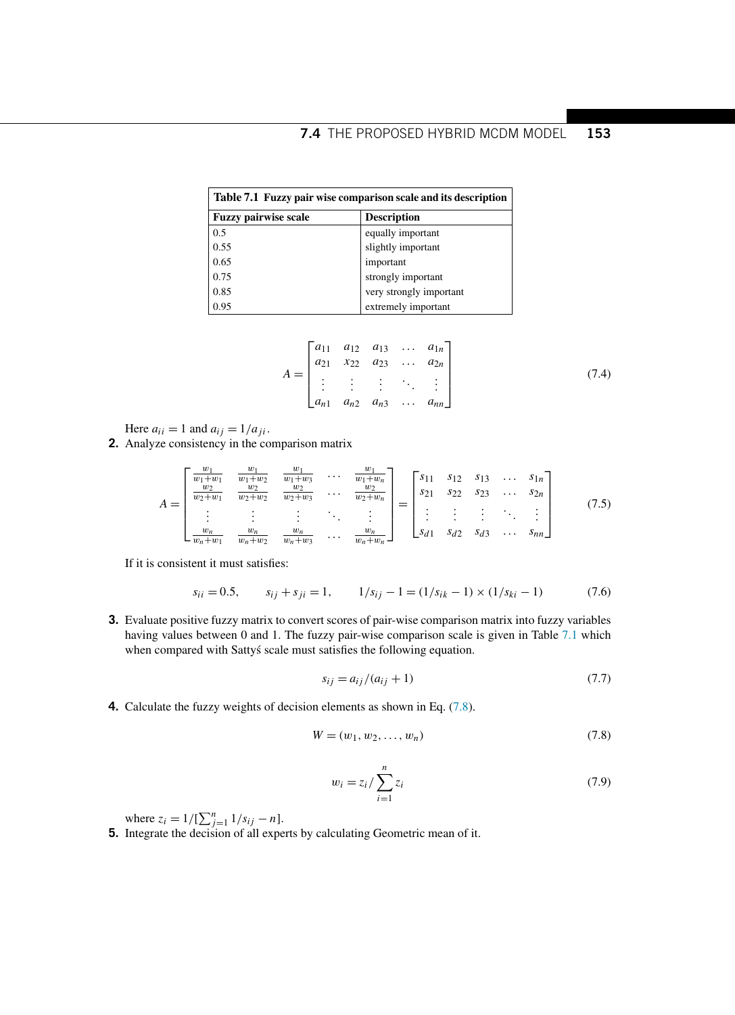| Table 7.1 Fuzzy pair wise comparison scale and its description |                         |  |  |  |  |  |
|----------------------------------------------------------------|-------------------------|--|--|--|--|--|
| <b>Fuzzy pairwise scale</b>                                    | <b>Description</b>      |  |  |  |  |  |
| 0.5                                                            | equally important       |  |  |  |  |  |
| 0.55                                                           | slightly important      |  |  |  |  |  |
| 0.65                                                           | important               |  |  |  |  |  |
| 0.75                                                           | strongly important      |  |  |  |  |  |
| 0.85                                                           | very strongly important |  |  |  |  |  |
| 0.95                                                           | extremely important     |  |  |  |  |  |

$$
A = \begin{bmatrix} a_{11} & a_{12} & a_{13} & \dots & a_{1n} \\ a_{21} & x_{22} & a_{23} & \dots & a_{2n} \\ \vdots & \vdots & \vdots & \ddots & \vdots \\ a_{n1} & a_{n2} & a_{n3} & \dots & a_{nn} \end{bmatrix}
$$
 (7.4)

Here  $a_{ii} = 1$  and  $a_{ij} = 1/a_{ji}$ .

**2.** Analyze consistency in the comparison matrix

$$
A = \begin{bmatrix} \frac{w_1}{w_1 + w_1} & \frac{w_1}{w_1 + w_2} & \frac{w_1}{w_1 + w_3} & \cdots & \frac{w_1}{w_1 + w_n} \\ \frac{w_2}{w_2 + w_1} & \frac{w_2}{w_2 + w_2} & \frac{w_2}{w_2 + w_3} & \cdots & \frac{w_2}{w_2 + w_n} \\ \vdots & \vdots & \vdots & \ddots & \vdots \\ \frac{w_n}{w_n + w_1} & \frac{w_n}{w_n + w_2} & \frac{w_n}{w_n + w_3} & \cdots & \frac{w_n}{w_n + w_n} \end{bmatrix} = \begin{bmatrix} s_{11} & s_{12} & s_{13} & \cdots & s_{1n} \\ s_{21} & s_{22} & s_{23} & \cdots & s_{2n} \\ \vdots & \vdots & \vdots & \ddots & \vdots \\ s_{d1} & s_{d2} & s_{d3} & \cdots & s_{nn} \end{bmatrix}
$$
(7.5)

If it is consistent it must satisfies:

$$
s_{ii} = 0.5, \qquad s_{ij} + s_{ji} = 1, \qquad 1/s_{ij} - 1 = (1/s_{ik} - 1) \times (1/s_{ki} - 1) \tag{7.6}
$$

**3.** Evaluate positive fuzzy matrix to convert scores of pair-wise comparison matrix into fuzzy variables having values between 0 and 1. The fuzzy pair-wise comparison scale is given in Table 7.1 which when compared with Sattys scale must satisfies the following equation.

$$
s_{ij} = a_{ij}/(a_{ij} + 1) \tag{7.7}
$$

**4.** Calculate the fuzzy weights of decision elements as shown in Eq. (7.8).

$$
W = (w_1, w_2, \dots, w_n)
$$
 (7.8)

$$
w_i = z_i / \sum_{i=1}^n z_i \tag{7.9}
$$

where  $z_i = 1/[\sum_{j=1}^{n} 1/s_{ij} - n]$ .<br> **5.** Integrate the decision of all experts by calculating Geometric mean of it.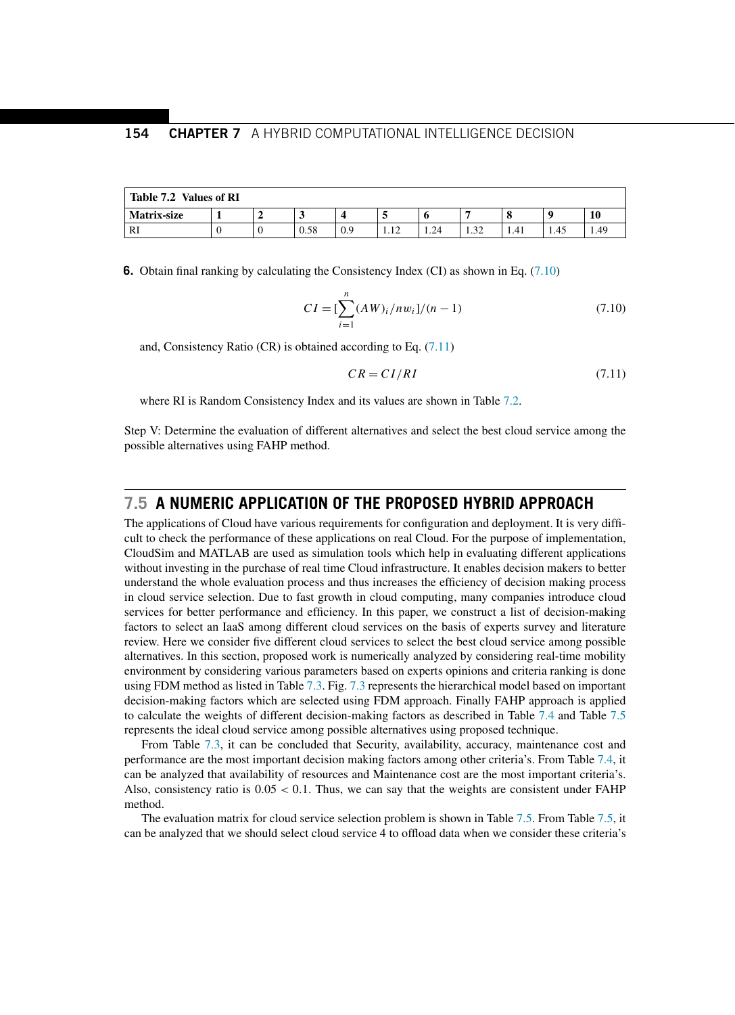<span id="page-7-0"></span>

| Table 7.2 Values of RI |  |          |      |     |                     |      |            |      |      |      |
|------------------------|--|----------|------|-----|---------------------|------|------------|------|------|------|
| <b>Matrix-size</b>     |  |          |      |     | ر_                  | v    |            | o    |      | 10   |
| RI                     |  | $\theta$ | 0.58 | 0.9 | $1^{\circ}$<br>1.14 | 1.24 | 22<br>1.72 | 1.41 | 1.45 | 1.49 |

**6.** Obtain final ranking by calculating the Consistency Index (CI) as shown in Eq. (7.10)

$$
CI = \left[\sum_{i=1}^{n} (AW)_i / n w_i\right] / (n-1)
$$
\n(7.10)

and, Consistency Ratio (CR) is obtained according to Eq. (7.11)

$$
CR = CI/RI \tag{7.11}
$$

where RI is Random Consistency Index and its values are shown in Table 7.2.

Step V: Determine the evaluation of different alternatives and select the best cloud service among the possible alternatives using FAHP method.

## **7.5 A NUMERIC APPLICATION OF THE PROPOSED HYBRID APPROACH**

The applications of Cloud have various requirements for configuration and deployment. It is very difficult to check the performance of these applications on real Cloud. For the purpose of implementation, CloudSim and MATLAB are used as simulation tools which help in evaluating different applications without investing in the purchase of real time Cloud infrastructure. It enables decision makers to better understand the whole evaluation process and thus increases the efficiency of decision making process in cloud service selection. Due to fast growth in cloud computing, many companies introduce cloud services for better performance and efficiency. In this paper, we construct a list of decision-making factors to select an IaaS among different cloud services on the basis of experts survey and literature review. Here we consider five different cloud services to select the best cloud service among possible alternatives. In this section, proposed work is numerically analyzed by considering real-time mobility environment by considering various parameters based on experts opinions and criteria ranking is done using FDM method as listed in Table [7.3.](#page-8-0) Fig. [7.3](#page-8-0) represents the hierarchical model based on important decision-making factors which are selected using FDM approach. Finally FAHP approach is applied to calculate the weights of different decision-making factors as described in Table [7.4](#page-8-0) and Table [7.5](#page-9-0) represents the ideal cloud service among possible alternatives using proposed technique.

From Table [7.3,](#page-8-0) it can be concluded that Security, availability, accuracy, maintenance cost and performance are the most important decision making factors among other criteria's. From Table [7.4,](#page-8-0) it can be analyzed that availability of resources and Maintenance cost are the most important criteria's. Also, consistency ratio is 0*.*05 *<* 0*.*1. Thus, we can say that the weights are consistent under FAHP method.

The evaluation matrix for cloud service selection problem is shown in Table [7.5.](#page-9-0) From Table [7.5,](#page-9-0) it can be analyzed that we should select cloud service 4 to offload data when we consider these criteria's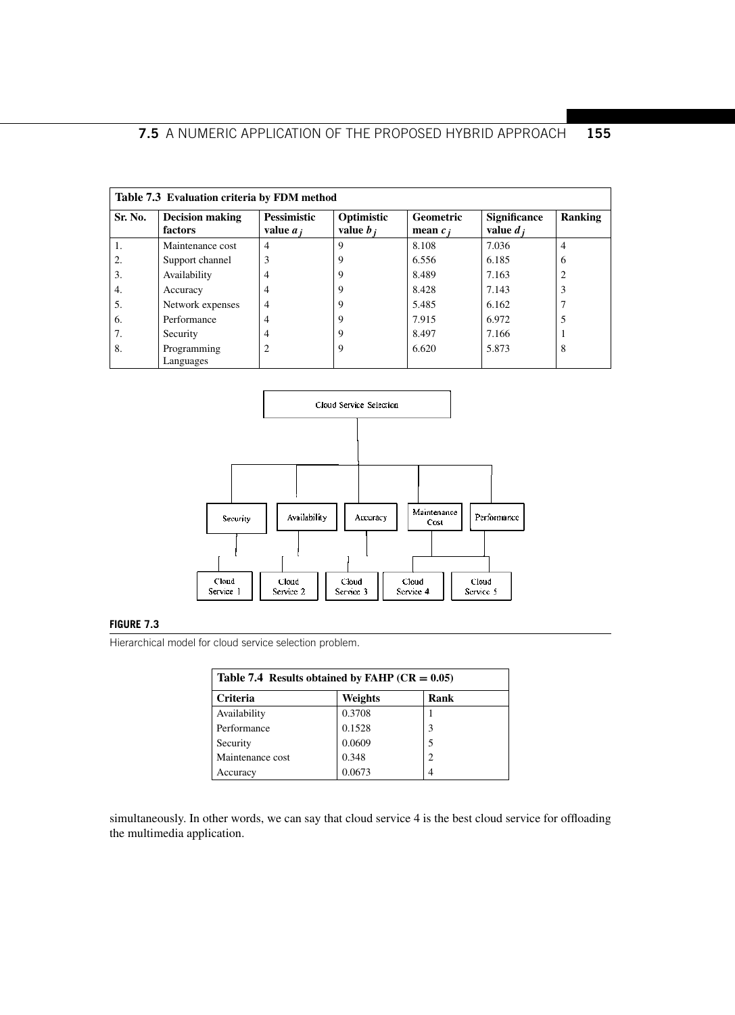<span id="page-8-0"></span>

| Table 7.3 Evaluation criteria by FDM method |                                   |                                   |                                |                                |                                    |         |  |
|---------------------------------------------|-----------------------------------|-----------------------------------|--------------------------------|--------------------------------|------------------------------------|---------|--|
| Sr. No.                                     | <b>Decision making</b><br>factors | <b>Pessimistic</b><br>value $a_i$ | Optimistic<br>value <i>b</i> : | <b>Geometric</b><br>mean $c_i$ | <b>Significance</b><br>value $d_i$ | Ranking |  |
| 1.                                          | Maintenance cost                  | 4                                 | 9                              | 8.108                          | 7.036                              | 4       |  |
| 2.                                          | Support channel                   | 3                                 | 9                              | 6.556                          | 6.185                              | 6       |  |
| 3.                                          | Availability                      | 4                                 | 9                              | 8.489                          | 7.163                              | 2       |  |
| 4.                                          | Accuracy                          | 4                                 | 9                              | 8.428                          | 7.143                              | 3       |  |
| 5.                                          | Network expenses                  | 4                                 | 9                              | 5.485                          | 6.162                              | ┑       |  |
| 6.                                          | Performance                       | 4                                 | 9                              | 7.915                          | 6.972                              | 5       |  |
| 7.                                          | Security                          | 4                                 | 9                              | 8.497                          | 7.166                              |         |  |
| 8.                                          | Programming<br>Languages          | 2                                 | 9                              | 6.620                          | 5.873                              | 8       |  |



#### **FIGURE 7.3**

Hierarchical model for cloud service selection problem.

| Table 7.4 Results obtained by FAHP $(CR = 0.05)$ |        |   |  |  |  |
|--------------------------------------------------|--------|---|--|--|--|
| Criteria<br>Weights<br>Rank                      |        |   |  |  |  |
| Availability                                     | 0.3708 |   |  |  |  |
| Performance                                      | 0.1528 | 3 |  |  |  |
| Security                                         | 0.0609 | 5 |  |  |  |
| Maintenance cost                                 | 0.348  | 2 |  |  |  |
| Accuracy                                         | 0.0673 |   |  |  |  |

simultaneously. In other words, we can say that cloud service 4 is the best cloud service for offloading the multimedia application.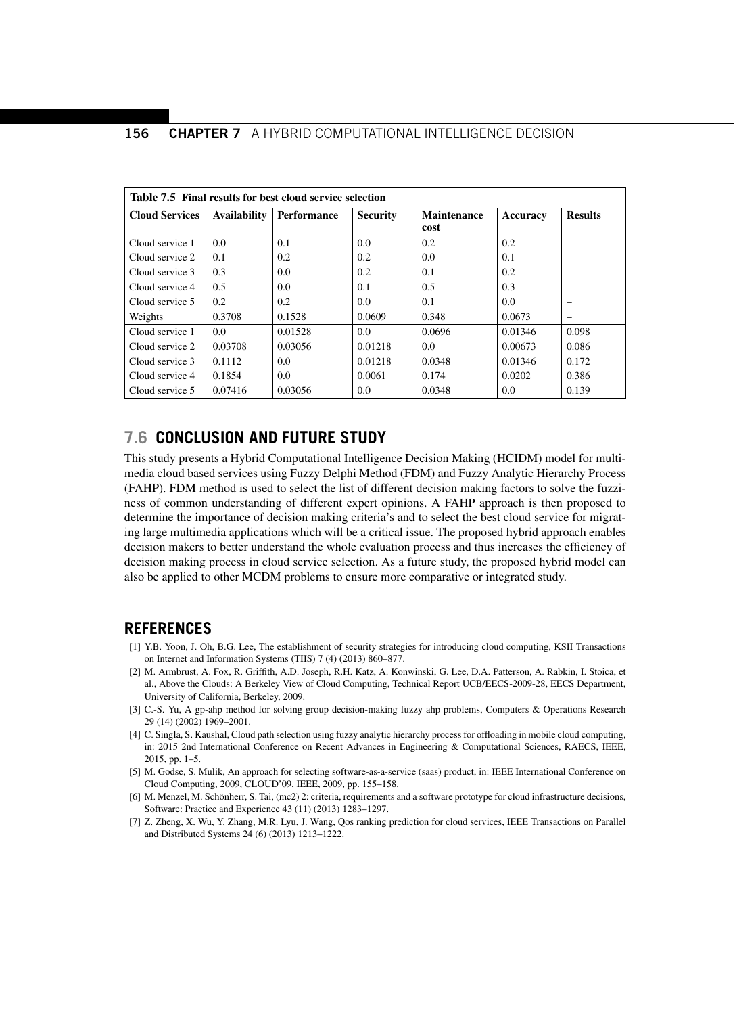<span id="page-9-0"></span>

| Table 7.5 Final results for best cloud service selection |         |                    |                 |                     |          |                          |  |
|----------------------------------------------------------|---------|--------------------|-----------------|---------------------|----------|--------------------------|--|
| <b>Cloud Services</b><br><b>Availability</b>             |         | <b>Performance</b> | <b>Security</b> | Maintenance<br>cost | Accuracy | <b>Results</b>           |  |
| Cloud service 1                                          | 0.0     | 0.1                | 0.0             | 0.2                 | 0.2      |                          |  |
| Cloud service 2                                          | 0.1     | 0.2                | 0.2             | 0.0                 | 0.1      |                          |  |
| Cloud service 3                                          | 0.3     | 0.0                | 0.2             | 0.1                 | 0.2      | -                        |  |
| Cloud service 4                                          | 0.5     | 0.0                | 0.1             | 0.5                 | 0.3      | -                        |  |
| Cloud service 5                                          | 0.2     | 0.2                | 0.0             | 0.1                 | 0.0      | -                        |  |
| Weights                                                  | 0.3708  | 0.1528             | 0.0609          | 0.348               | 0.0673   | $\overline{\phantom{0}}$ |  |
| Cloud service 1                                          | 0.0     | 0.01528            | 0.0             | 0.0696              | 0.01346  | 0.098                    |  |
| Cloud service 2                                          | 0.03708 | 0.03056            | 0.01218         | 0.0                 | 0.00673  | 0.086                    |  |
| Cloud service 3                                          | 0.1112  | 0.0                | 0.01218         | 0.0348              | 0.01346  | 0.172                    |  |
| Cloud service 4                                          | 0.1854  | 0.0                | 0.0061          | 0.174               | 0.0202   | 0.386                    |  |
| Cloud service 5                                          | 0.07416 | 0.03056            | 0.0             | 0.0348              | 0.0      | 0.139                    |  |

# **7.6 CONCLUSION AND FUTURE STUDY**

This study presents a Hybrid Computational Intelligence Decision Making (HCIDM) model for multimedia cloud based services using Fuzzy Delphi Method (FDM) and Fuzzy Analytic Hierarchy Process (FAHP). FDM method is used to select the list of different decision making factors to solve the fuzziness of common understanding of different expert opinions. A FAHP approach is then proposed to determine the importance of decision making criteria's and to select the best cloud service for migrating large multimedia applications which will be a critical issue. The proposed hybrid approach enables decision makers to better understand the whole evaluation process and thus increases the efficiency of decision making process in cloud service selection. As a future study, the proposed hybrid model can also be applied to other MCDM problems to ensure more comparative or integrated study.

# **REFERENCES**

- [1] Y.B. Yoon, J. Oh, B.G. Lee, The establishment of security strategies for introducing cloud computing, KSII Transactions on Internet and Information Systems (TIIS) 7 (4) (2013) 860–877.
- [2] M. Armbrust, A. Fox, R. Griffith, A.D. Joseph, R.H. Katz, A. Konwinski, G. Lee, D.A. Patterson, A. Rabkin, I. Stoica, et al., Above the Clouds: A Berkeley View of Cloud Computing, Technical Report UCB/EECS-2009-28, EECS Department, University of California, Berkeley, 2009.
- [3] C.-S. Yu, A gp-ahp method for solving group decision-making fuzzy ahp problems, Computers & Operations Research 29 (14) (2002) 1969–2001.
- [4] C. Singla, S. Kaushal, Cloud path selection using fuzzy analytic hierarchy process for offloading in mobile cloud computing, in: 2015 2nd International Conference on Recent Advances in Engineering & Computational Sciences, RAECS, IEEE, 2015, pp. 1–5.
- [5] M. Godse, S. Mulik, An approach for selecting software-as-a-service (saas) product, in: IEEE International Conference on Cloud Computing, 2009, CLOUD'09, IEEE, 2009, pp. 155–158.
- [6] M. Menzel, M. Schönherr, S. Tai, (mc2) 2: criteria, requirements and a software prototype for cloud infrastructure decisions, Software: Practice and Experience 43 (11) (2013) 1283–1297.
- [7] Z. Zheng, X. Wu, Y. Zhang, M.R. Lyu, J. Wang, Qos ranking prediction for cloud services, IEEE Transactions on Parallel and Distributed Systems 24 (6) (2013) 1213–1222.